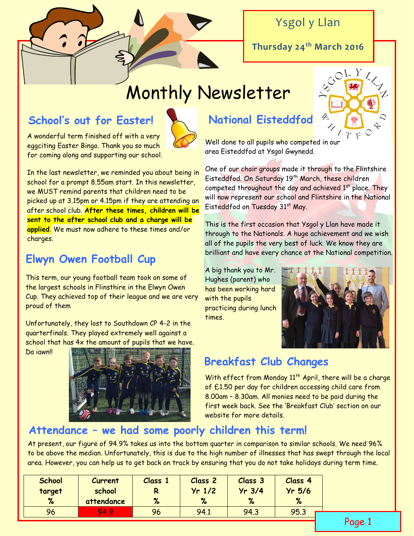Ysgol y Llan

**Thursday 24th March 2016**

# Monthly Newsletter

# **School's out for Easter!**

A wonderful term finished off with a very eggciting Easter Bingo. Thank you so much for coming along and supporting our school.



### **Elwyn Owen Football Cup**

This term, our young football team took on some of the largest schools in Flinsthire in the Elwyn Owen Cup. They achieved top of their league and we are very proud of them

Unfortunately, they lost to Southdown CP 4-2 in the quarterfinals. They played extremely well against a school that has 4x the amount of pupils that we have.

Da iawn!!



### **National Eisteddfod**

Well done to all pupils who competed in our area Eisteddfod at Ysgol Gwynedd.

One of our choir groups made it through to the Flintshire Eisteddfod. On Saturday 19th March, these children competed throughout the day and achieved 1<sup>st</sup> place. They will now represent our school and Flintshire in the National Eisteddfod on Tuesday 31st May.

This is the first occasion that Ysgol y Llan have made it through to the Nationals. A huge achievement and we wish all of the pupils the very best of luck. We know they are brilliant and have every chance at the National competition.

A big thank you to Mr. Hughes (parent) who has been working hard with the pupils practicing during lunch times.



## **Breakfast Club Changes**

With effect from Monday 11<sup>th</sup> April, there will be a charge of £1.50 per day for children accessing child care from 8.00am – 8.30am. All monies need to be paid during the first week back. See the 'Breakfast Club' section on our website for more details.

#### **Attendance – we had some poorly children this term!**

At present, our figure of 94.9% takes us into the bottom quarter in comparison to similar schools. We need 96% to be above the median. Unfortunately, this is due to the high number of illnesses that has swept through the local area. However, you can help us to get back on track by ensuring that you do not take holidays during term time.

| $Yr$ 3/4<br>$Yr$ 1/2<br>$Yr$ 5/6<br>school<br>target<br>%<br>%<br>%<br>%<br>attendance | <b>School</b> | Class 4 |
|----------------------------------------------------------------------------------------|---------------|---------|
|                                                                                        |               |         |
|                                                                                        | %             |         |
| 94.1<br>94.3<br>94.9<br>96<br>95.3<br>96                                               |               |         |